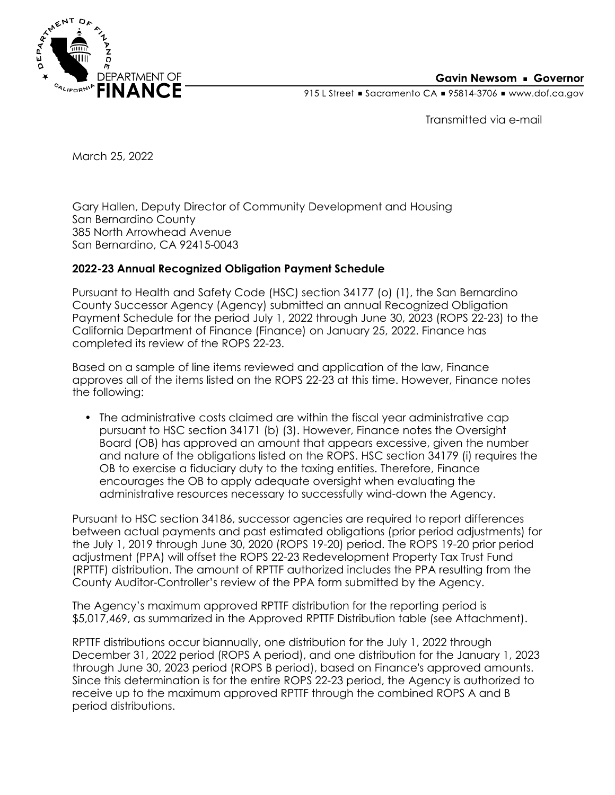

915 L Street Gacramento CA = 95814-3706 Www.dof.ca.gov

Transmitted via e-mail

March 25, 2022

Gary Hallen, Deputy Director of Community Development and Housing San Bernardino County 385 North Arrowhead Avenue San Bernardino, CA 92415-0043

## **2022-23 Annual Recognized Obligation Payment Schedule**

Pursuant to Health and Safety Code (HSC) section 34177 (o) (1), the San Bernardino County Successor Agency (Agency) submitted an annual Recognized Obligation Payment Schedule for the period July 1, 2022 through June 30, 2023 (ROPS 22-23) to the California Department of Finance (Finance) on January 25, 2022. Finance has completed its review of the ROPS 22-23.

Based on a sample of line items reviewed and application of the law, Finance approves all of the items listed on the ROPS 22-23 at this time. However, Finance notes the following:

• The administrative costs claimed are within the fiscal year administrative cap pursuant to HSC section 34171 (b) (3). However, Finance notes the Oversight Board (OB) has approved an amount that appears excessive, given the number and nature of the obligations listed on the ROPS. HSC section 34179 (i) requires the OB to exercise a fiduciary duty to the taxing entities. Therefore, Finance encourages the OB to apply adequate oversight when evaluating the administrative resources necessary to successfully wind-down the Agency.

Pursuant to HSC section 34186, successor agencies are required to report differences between actual payments and past estimated obligations (prior period adjustments) for the July 1, 2019 through June 30, 2020 (ROPS 19-20) period. The ROPS 19-20 prior period adjustment (PPA) will offset the ROPS 22-23 Redevelopment Property Tax Trust Fund (RPTTF) distribution. The amount of RPTTF authorized includes the PPA resulting from the County Auditor-Controller's review of the PPA form submitted by the Agency.

The Agency's maximum approved RPTTF distribution for the reporting period is \$5,017,469, as summarized in the Approved RPTTF Distribution table (see Attachment).

RPTTF distributions occur biannually, one distribution for the July 1, 2022 through December 31, 2022 period (ROPS A period), and one distribution for the January 1, 2023 through June 30, 2023 period (ROPS B period), based on Finance's approved amounts. Since this determination is for the entire ROPS 22-23 period, the Agency is authorized to receive up to the maximum approved RPTTF through the combined ROPS A and B period distributions.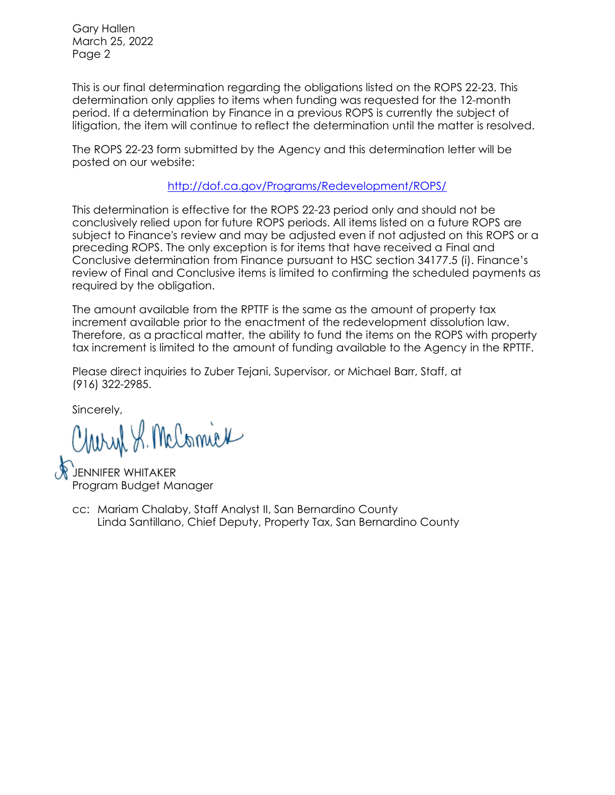Gary Hallen March 25, 2022 Page 2

This is our final determination regarding the obligations listed on the ROPS 22-23. This determination only applies to items when funding was requested for the 12-month period. If a determination by Finance in a previous ROPS is currently the subject of litigation, the item will continue to reflect the determination until the matter is resolved.

The ROPS 22-23 form submitted by the Agency and this determination letter will be posted on our website:

<http://dof.ca.gov/Programs/Redevelopment/ROPS/>

This determination is effective for the ROPS 22-23 period only and should not be conclusively relied upon for future ROPS periods. All items listed on a future ROPS are subject to Finance's review and may be adjusted even if not adjusted on this ROPS or a preceding ROPS. The only exception is for items that have received a Final and Conclusive determination from Finance pursuant to HSC section 34177.5 (i). Finance's review of Final and Conclusive items is limited to confirming the scheduled payments as required by the obligation.

The amount available from the RPTTF is the same as the amount of property tax increment available prior to the enactment of the redevelopment dissolution law. Therefore, as a practical matter, the ability to fund the items on the ROPS with property tax increment is limited to the amount of funding available to the Agency in the RPTTF.

Please direct inquiries to Zuber Tejani, Supervisor, or Michael Barr, Staff, at (916) 322-2985.

Sincerely,

Cheryl S. McComick

**ENNIFER WHITAKER** Program Budget Manager

Linda Santillano, Chief Deputy, Property Tax, San Bernardino County cc: Mariam Chalaby, Staff Analyst II, San Bernardino County